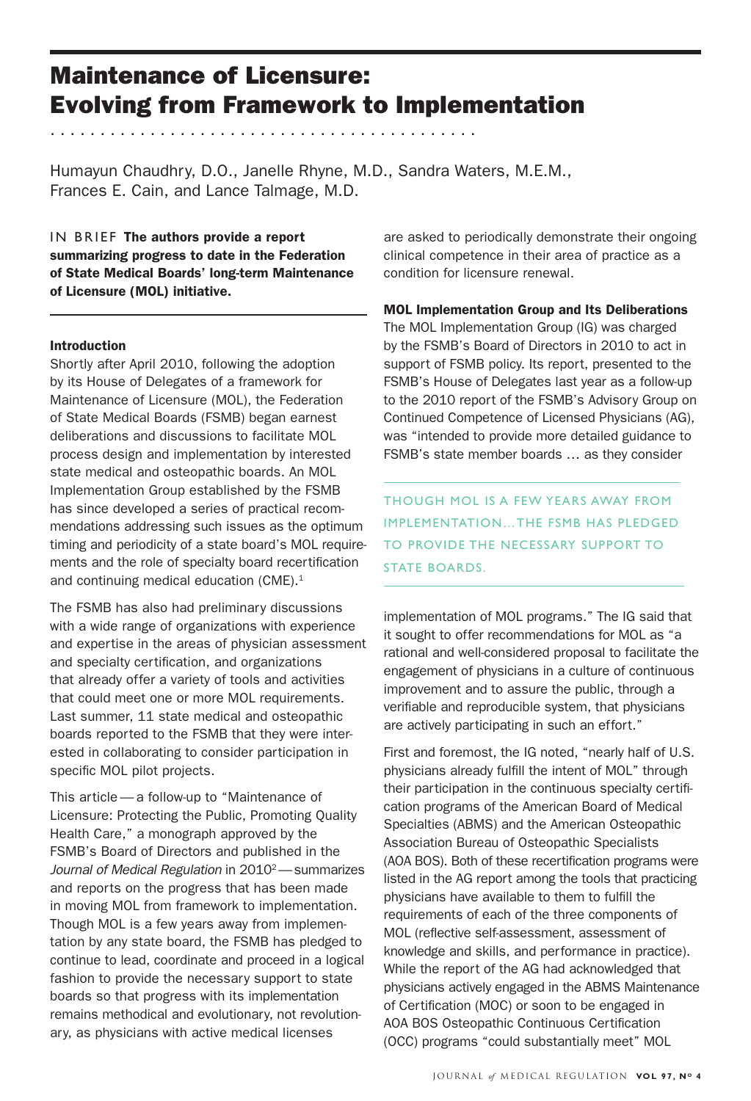# Maintenance of Licensure: Evolving from Framework to Implementation

Humayun Chaudhry, D.O., Janelle Rhyne, M.D., Sandra Waters, M.E.M., Frances E. Cain, and Lance Talmage, M.D.

. . . . . . . . . . . . . . . . . . . . . . . . . . . . . . . . . . . . . . . . . . .

IN BRIEF The authors provide a report summarizing progress to date in the Federation of State Medical Boards' long-term Maintenance of Licensure (MOL) initiative.

### Introduction

Shortly after April 2010, following the adoption by its House of Delegates of a framework for Maintenance of Licensure (MOL), the Federation of State Medical Boards (FSMB) began earnest deliberations and discussions to facilitate MOL process design and implementation by interested state medical and osteopathic boards. An MOL Implementation Group established by the FSMB has since developed a series of practical recommendations addressing such issues as the optimum timing and periodicity of a state board's MOL requirements and the role of specialty board recertification and continuing medical education (CME).<sup>1</sup>

The FSMB has also had preliminary discussions with a wide range of organizations with experience and expertise in the areas of physician assessment and specialty certification, and organizations that already offer a variety of tools and activities that could meet one or more MOL requirements. Last summer, 11 state medical and osteopathic boards reported to the FSMB that they were interested in collaborating to consider participation in specific MOL pilot projects.

This article— a follow-up to "Maintenance of Licensure: Protecting the Public, Promoting Quality Health Care," a monograph approved by the FSMB's Board of Directors and published in the Journal of Medical Regulation in 2010<sup>2</sup> - summarizes and reports on the progress that has been made in moving MOL from framework to implementation. Though MOL is a few years away from implementation by any state board, the FSMB has pledged to continue to lead, coordinate and proceed in a logical fashion to provide the necessary support to state boards so that progress with its implementation remains methodical and evolutionary, not revolutionary, as physicians with active medical licenses

are asked to periodically demonstrate their ongoing clinical competence in their area of practice as a condition for licensure renewal.

MOL Implementation Group and Its Deliberations

The MOL Implementation Group (IG) was charged by the FSMB's Board of Directors in 2010 to act in support of FSMB policy. Its report, presented to the FSMB's House of Delegates last year as a follow-up to the 2010 report of the FSMB's Advisory Group on Continued Competence of Licensed Physicians (AG), was "intended to provide more detailed guidance to FSMB's state member boards … as they consider

Though MOL is a few years away from implementation…the FSMB has pledged to provide the necessary support to STATE BOARDS.

implementation of MOL programs." The IG said that it sought to offer recommendations for MOL as "a rational and well-considered proposal to facilitate the engagement of physicians in a culture of continuous improvement and to assure the public, through a verifiable and reproducible system, that physicians are actively participating in such an effort."

First and foremost, the IG noted, "nearly half of U.S. physicians already fulfill the intent of MOL" through their participation in the continuous specialty certification programs of the American Board of Medical Specialties (ABMS) and the American Osteopathic Association Bureau of Osteopathic Specialists (AOA BOS). Both of these recertification programs were listed in the AG report among the tools that practicing physicians have available to them to fulfill the requirements of each of the three components of MOL (reflective self-assessment, assessment of knowledge and skills, and performance in practice). While the report of the AG had acknowledged that physicians actively engaged in the ABMS Maintenance of Certification (MOC) or soon to be engaged in AOA BOS Osteopathic Continuous Certification (OCC) programs "could substantially meet" MOL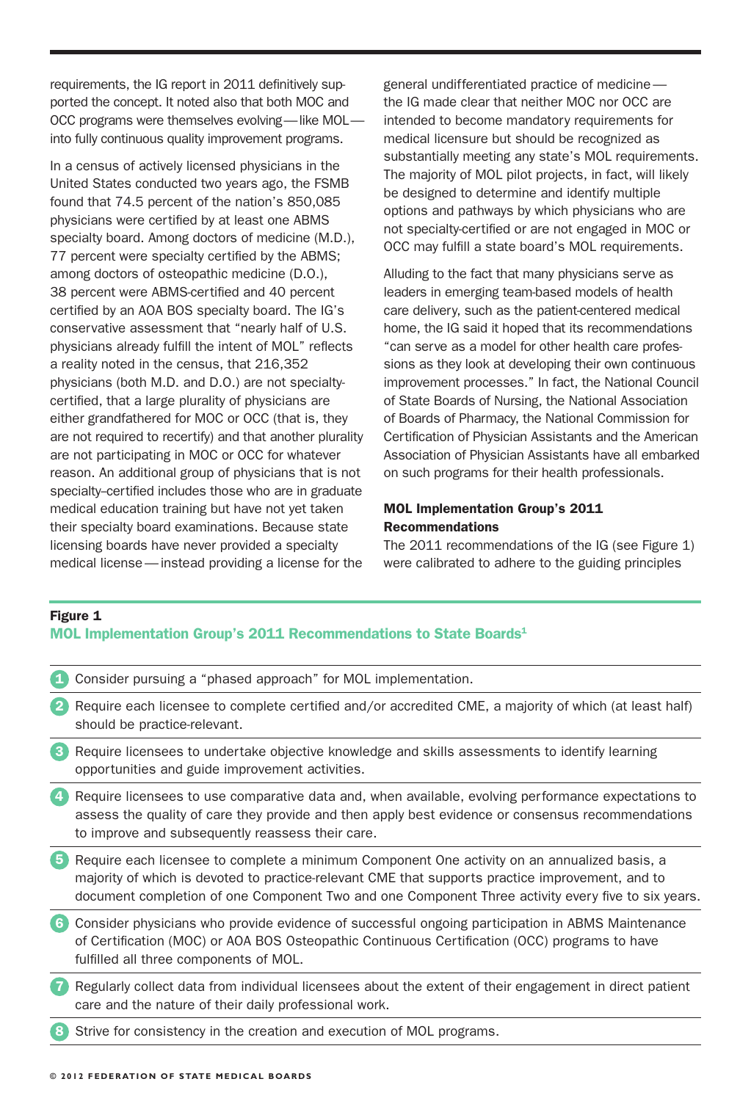requirements, the IG report in 2011 definitively supported the concept. It noted also that both MOC and OCC programs were themselves evolving—like MOL into fully continuous quality improvement programs.

In a census of actively licensed physicians in the United States conducted two years ago, the FSMB found that 74.5 percent of the nation's 850,085 physicians were certified by at least one ABMS specialty board. Among doctors of medicine (M.D.), 77 percent were specialty certified by the ABMS; among doctors of osteopathic medicine (D.O.), 38 percent were ABMS-certified and 40 percent certified by an AOA BOS specialty board. The IG's conservative assessment that "nearly half of U.S. physicians already fulfill the intent of MOL" reflects a reality noted in the census, that 216,352 physicians (both M.D. and D.O.) are not specialtycertified, that a large plurality of physicians are either grandfathered for MOC or OCC (that is, they are not required to recertify) and that another plurality are not participating in MOC or OCC for whatever reason. An additional group of physicians that is not specialty-certified includes those who are in graduate medical education training but have not yet taken their specialty board examinations. Because state licensing boards have never provided a specialty medical license—instead providing a license for the

general undifferentiated practice of medicine the IG made clear that neither MOC nor OCC are intended to become mandatory requirements for medical licensure but should be recognized as substantially meeting any state's MOL requirements. The majority of MOL pilot projects, in fact, will likely be designed to determine and identify multiple options and pathways by which physicians who are not specialty-certified or are not engaged in MOC or OCC may fulfill a state board's MOL requirements.

Alluding to the fact that many physicians serve as leaders in emerging team-based models of health care delivery, such as the patient-centered medical home, the IG said it hoped that its recommendations "can serve as a model for other health care professions as they look at developing their own continuous improvement processes." In fact, the National Council of State Boards of Nursing, the National Association of Boards of Pharmacy, the National Commission for Certification of Physician Assistants and the American Association of Physician Assistants have all embarked on such programs for their health professionals.

## MOL Implementation Group's 2011 Recommendations

The 2011 recommendations of the IG (see Figure 1) were calibrated to adhere to the guiding principles

# Figure 1 MOL Implementation Group's 2011 Recommendations to State Boards<sup>1</sup>

|                        | Consider pursuing a "phased approach" for MOL implementation.                                                                                                                                                                                                                                          |
|------------------------|--------------------------------------------------------------------------------------------------------------------------------------------------------------------------------------------------------------------------------------------------------------------------------------------------------|
| $\overline{2}$         | Require each licensee to complete certified and/or accredited CME, a majority of which (at least half)<br>should be practice-relevant.                                                                                                                                                                 |
| $\left 3\right\rangle$ | Require licensees to undertake objective knowledge and skills assessments to identify learning<br>opportunities and guide improvement activities.                                                                                                                                                      |
| $\overline{4}$         | Require licensees to use comparative data and, when available, evolving performance expectations to<br>assess the quality of care they provide and then apply best evidence or consensus recommendations<br>to improve and subsequently reassess their care.                                           |
| $\sqrt{5}$             | Require each licensee to complete a minimum Component One activity on an annualized basis, a<br>majority of which is devoted to practice-relevant CME that supports practice improvement, and to<br>document completion of one Component Two and one Component Three activity every five to six years. |
| 6                      | Consider physicians who provide evidence of successful ongoing participation in ABMS Maintenance<br>of Certification (MOC) or AOA BOS Osteopathic Continuous Certification (OCC) programs to have<br>fulfilled all three components of MOL.                                                            |
|                        | Regularly collect data from individual licensees about the extent of their engagement in direct patient<br>care and the nature of their daily professional work.                                                                                                                                       |

Strive for consistency in the creation and execution of MOL programs.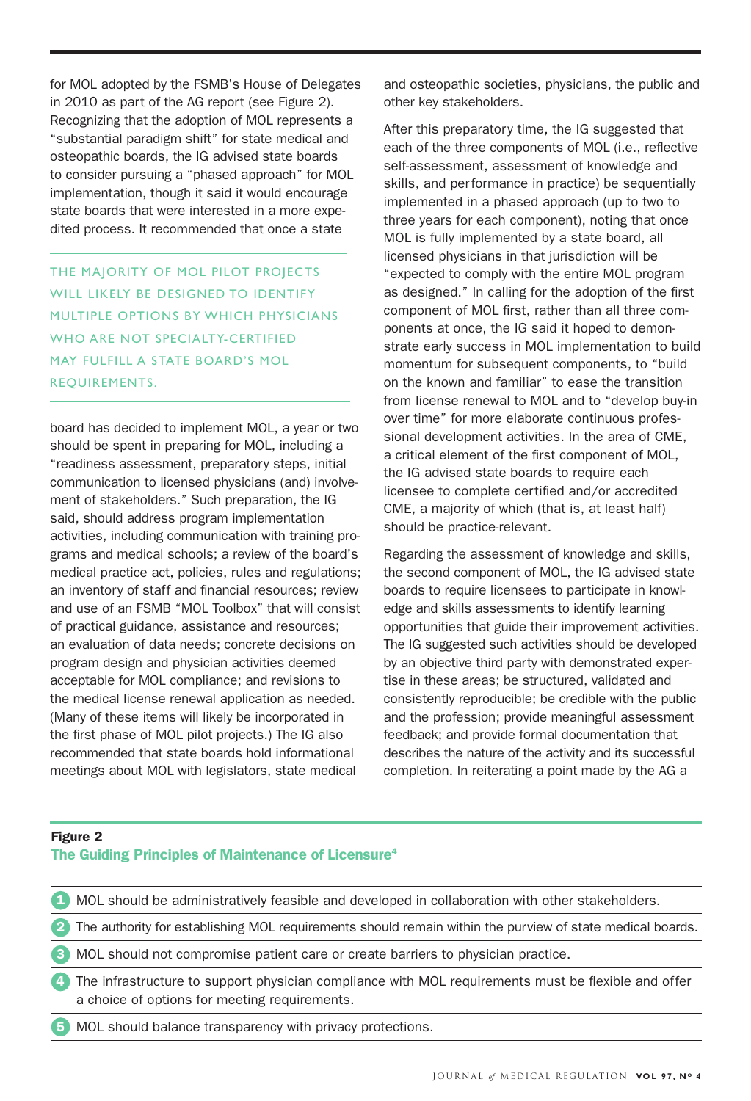for MOL adopted by the FSMB's House of Delegates in 2010 as part of the AG report (see Figure 2). Recognizing that the adoption of MOL represents a "substantial paradigm shift" for state medical and osteopathic boards, the IG advised state boards to consider pursuing a "phased approach" for MOL implementation, though it said it would encourage state boards that were interested in a more expedited process. It recommended that once a state

The majority of MOL pilot projects WILL LIKELY BE DESIGNED TO IDENTIFY multiple options by which physicians WHO ARE NOT SPECIALTY-CERTIFIED may fulfill a state board's MOL requirements.

board has decided to implement MOL, a year or two should be spent in preparing for MOL, including a "readiness assessment, preparatory steps, initial communication to licensed physicians (and) involvement of stakeholders." Such preparation, the IG said, should address program implementation activities, including communication with training programs and medical schools; a review of the board's medical practice act, policies, rules and regulations; an inventory of staff and financial resources; review and use of an FSMB "MOL Toolbox" that will consist of practical guidance, assistance and resources; an evaluation of data needs; concrete decisions on program design and physician activities deemed acceptable for MOL compliance; and revisions to the medical license renewal application as needed. (Many of these items will likely be incorporated in the first phase of MOL pilot projects.) The IG also recommended that state boards hold informational meetings about MOL with legislators, state medical

and osteopathic societies, physicians, the public and other key stakeholders.

After this preparatory time, the IG suggested that each of the three components of MOL (i.e., reflective self-assessment, assessment of knowledge and skills, and performance in practice) be sequentially implemented in a phased approach (up to two to three years for each component), noting that once MOL is fully implemented by a state board, all licensed physicians in that jurisdiction will be "expected to comply with the entire MOL program as designed." In calling for the adoption of the first component of MOL first, rather than all three components at once, the IG said it hoped to demonstrate early success in MOL implementation to build momentum for subsequent components, to "build on the known and familiar" to ease the transition from license renewal to MOL and to "develop buy-in over time" for more elaborate continuous professional development activities. In the area of CME, a critical element of the first component of MOL, the IG advised state boards to require each licensee to complete certified and/or accredited CME, a majority of which (that is, at least half) should be practice-relevant.

Regarding the assessment of knowledge and skills, the second component of MOL, the IG advised state boards to require licensees to participate in knowledge and skills assessments to identify learning opportunities that guide their improvement activities. The IG suggested such activities should be developed by an objective third party with demonstrated expertise in these areas; be structured, validated and consistently reproducible; be credible with the public and the profession; provide meaningful assessment feedback; and provide formal documentation that describes the nature of the activity and its successful completion. In reiterating a point made by the AG a

# Figure 2

# The Guiding Principles of Maintenance of Licensure<sup>4</sup>

1 MOL should be administratively feasible and developed in collaboration with other stakeholders.

2 The authority for establishing MOL requirements should remain within the purview of state medical boards.

3 MOL should not compromise patient care or create barriers to physician practice.

4 The infrastructure to support physician compliance with MOL requirements must be flexible and offer a choice of options for meeting requirements.

5 MOL should balance transparency with privacy protections.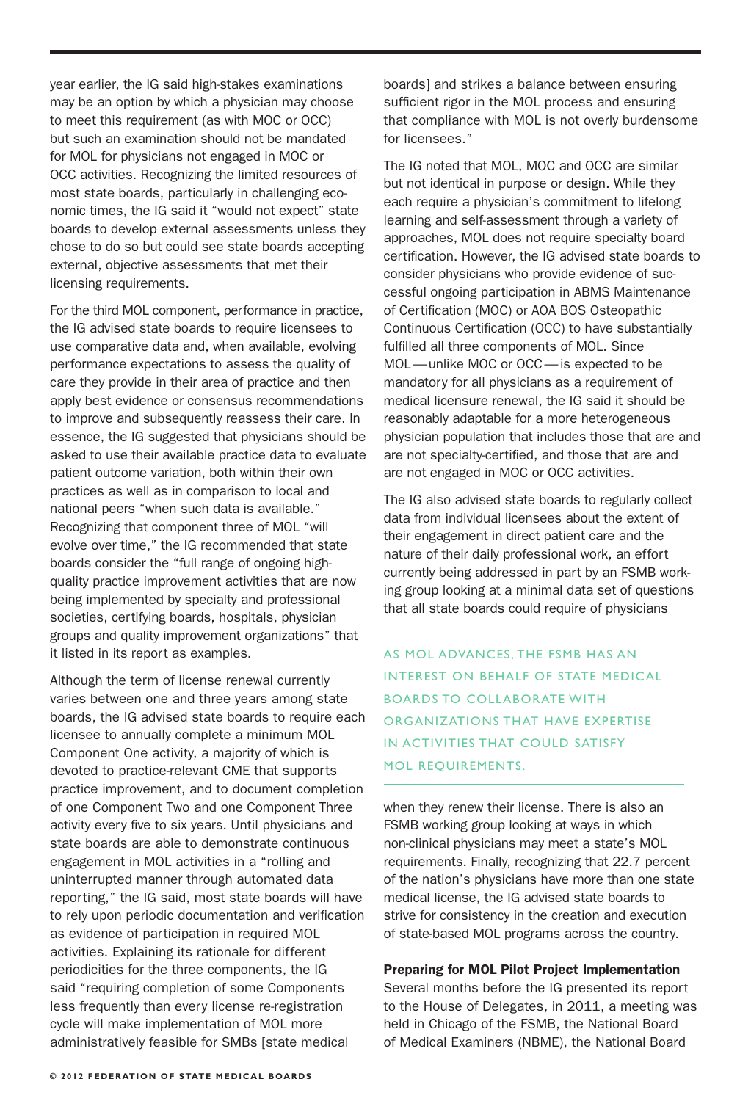year earlier, the IG said high-stakes examinations may be an option by which a physician may choose to meet this requirement (as with MOC or OCC) but such an examination should not be mandated for MOL for physicians not engaged in MOC or OCC activities. Recognizing the limited resources of most state boards, particularly in challenging economic times, the IG said it "would not expect" state boards to develop external assessments unless they chose to do so but could see state boards accepting external, objective assessments that met their licensing requirements.

For the third MOL component, performance in practice, the IG advised state boards to require licensees to use comparative data and, when available, evolving performance expectations to assess the quality of care they provide in their area of practice and then apply best evidence or consensus recommendations to improve and subsequently reassess their care. In essence, the IG suggested that physicians should be asked to use their available practice data to evaluate patient outcome variation, both within their own practices as well as in comparison to local and national peers "when such data is available." Recognizing that component three of MOL "will evolve over time," the IG recommended that state boards consider the "full range of ongoing highquality practice improvement activities that are now being implemented by specialty and professional societies, certifying boards, hospitals, physician groups and quality improvement organizations" that it listed in its report as examples.

Although the term of license renewal currently varies between one and three years among state boards, the IG advised state boards to require each licensee to annually complete a minimum MOL Component One activity, a majority of which is devoted to practice-relevant CME that supports practice improvement, and to document completion of one Component Two and one Component Three activity every five to six years. Until physicians and state boards are able to demonstrate continuous engagement in MOL activities in a "rolling and uninterrupted manner through automated data reporting," the IG said, most state boards will have to rely upon periodic documentation and verification as evidence of participation in required MOL activities. Explaining its rationale for different periodicities for the three components, the IG said "requiring completion of some Components less frequently than every license re-registration cycle will make implementation of MOL more administratively feasible for SMBs [state medical

boards] and strikes a balance between ensuring sufficient rigor in the MOL process and ensuring that compliance with MOL is not overly burdensome for licensees."

The IG noted that MOL, MOC and OCC are similar but not identical in purpose or design. While they each require a physician's commitment to lifelong learning and self-assessment through a variety of approaches, MOL does not require specialty board certification. However, the IG advised state boards to consider physicians who provide evidence of successful ongoing participation in ABMS Maintenance of Certification (MOC) or AOA BOS Osteopathic Continuous Certification (OCC) to have substantially fulfilled all three components of MOL. Since MOL—unlike MOC or OCC—is expected to be mandatory for all physicians as a requirement of medical licensure renewal, the IG said it should be reasonably adaptable for a more heterogeneous physician population that includes those that are and are not specialty-certified, and those that are and are not engaged in MOC or OCC activities.

The IG also advised state boards to regularly collect data from individual licensees about the extent of their engagement in direct patient care and the nature of their daily professional work, an effort currently being addressed in part by an FSMB working group looking at a minimal data set of questions that all state boards could require of physicians

As MOL advances, the FSMB has an interest on behalf of state medical boards to collaborate with organizations that have expertise in activities that could satisfy MOL requirements.

when they renew their license. There is also an FSMB working group looking at ways in which non-clinical physicians may meet a state's MOL requirements. Finally, recognizing that 22.7 percent of the nation's physicians have more than one state medical license, the IG advised state boards to strive for consistency in the creation and execution of state-based MOL programs across the country.

#### Preparing for MOL Pilot Project Implementation

Several months before the IG presented its report to the House of Delegates, in 2011, a meeting was held in Chicago of the FSMB, the National Board of Medical Examiners (NBME), the National Board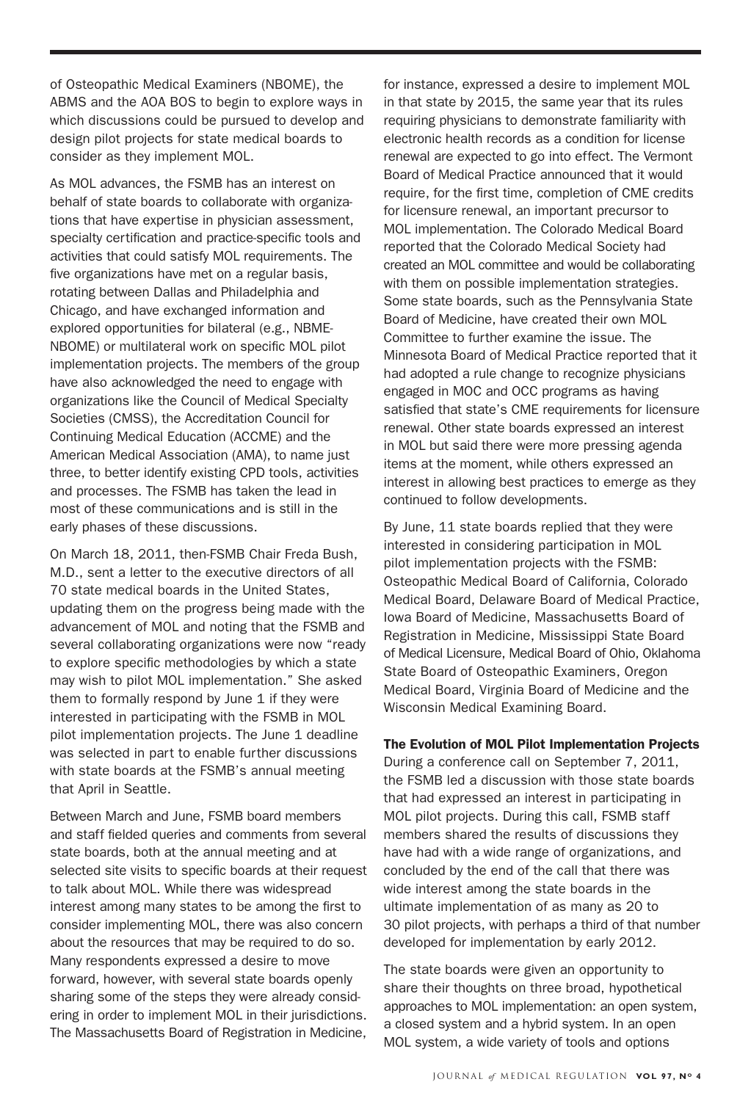of Osteopathic Medical Examiners (NBOME), the ABMS and the AOA BOS to begin to explore ways in which discussions could be pursued to develop and design pilot projects for state medical boards to consider as they implement MOL.

As MOL advances, the FSMB has an interest on behalf of state boards to collaborate with organizations that have expertise in physician assessment, specialty certification and practice-specific tools and activities that could satisfy MOL requirements. The five organizations have met on a regular basis, rotating between Dallas and Philadelphia and Chicago, and have exchanged information and explored opportunities for bilateral (e.g., NBME-NBOME) or multilateral work on specific MOL pilot implementation projects. The members of the group have also acknowledged the need to engage with organizations like the Council of Medical Specialty Societies (CMSS), the Accreditation Council for Continuing Medical Education (ACCME) and the American Medical Association (AMA), to name just three, to better identify existing CPD tools, activities and processes. The FSMB has taken the lead in most of these communications and is still in the early phases of these discussions.

On March 18, 2011, then-FSMB Chair Freda Bush, M.D., sent a letter to the executive directors of all 70 state medical boards in the United States, updating them on the progress being made with the advancement of MOL and noting that the FSMB and several collaborating organizations were now "ready to explore specific methodologies by which a state may wish to pilot MOL implementation." She asked them to formally respond by June 1 if they were interested in participating with the FSMB in MOL pilot implementation projects. The June 1 deadline was selected in part to enable further discussions with state boards at the FSMB's annual meeting that April in Seattle.

Between March and June, FSMB board members and staff fielded queries and comments from several state boards, both at the annual meeting and at selected site visits to specific boards at their request to talk about MOL. While there was widespread interest among many states to be among the first to consider implementing MOL, there was also concern about the resources that may be required to do so. Many respondents expressed a desire to move forward, however, with several state boards openly sharing some of the steps they were already considering in order to implement MOL in their jurisdictions. The Massachusetts Board of Registration in Medicine,

for instance, expressed a desire to implement MOL in that state by 2015, the same year that its rules requiring physicians to demonstrate familiarity with electronic health records as a condition for license renewal are expected to go into effect. The Vermont Board of Medical Practice announced that it would require, for the first time, completion of CME credits for licensure renewal, an important precursor to MOL implementation. The Colorado Medical Board reported that the Colorado Medical Society had created an MOL committee and would be collaborating with them on possible implementation strategies. Some state boards, such as the Pennsylvania State Board of Medicine, have created their own MOL Committee to further examine the issue. The Minnesota Board of Medical Practice reported that it had adopted a rule change to recognize physicians engaged in MOC and OCC programs as having satisfied that state's CME requirements for licensure renewal. Other state boards expressed an interest in MOL but said there were more pressing agenda items at the moment, while others expressed an interest in allowing best practices to emerge as they continued to follow developments.

By June, 11 state boards replied that they were interested in considering participation in MOL pilot implementation projects with the FSMB: Osteopathic Medical Board of California, Colorado Medical Board, Delaware Board of Medical Practice, Iowa Board of Medicine, Massachusetts Board of Registration in Medicine, Mississippi State Board of Medical Licensure, Medical Board of Ohio, Oklahoma State Board of Osteopathic Examiners, Oregon Medical Board, Virginia Board of Medicine and the Wisconsin Medical Examining Board.

### The Evolution of MOL Pilot Implementation Projects

During a conference call on September 7, 2011, the FSMB led a discussion with those state boards that had expressed an interest in participating in MOL pilot projects. During this call, FSMB staff members shared the results of discussions they have had with a wide range of organizations, and concluded by the end of the call that there was wide interest among the state boards in the ultimate implementation of as many as 20 to 30 pilot projects, with perhaps a third of that number developed for implementation by early 2012.

The state boards were given an opportunity to share their thoughts on three broad, hypothetical approaches to MOL implementation: an open system, a closed system and a hybrid system. In an open MOL system, a wide variety of tools and options